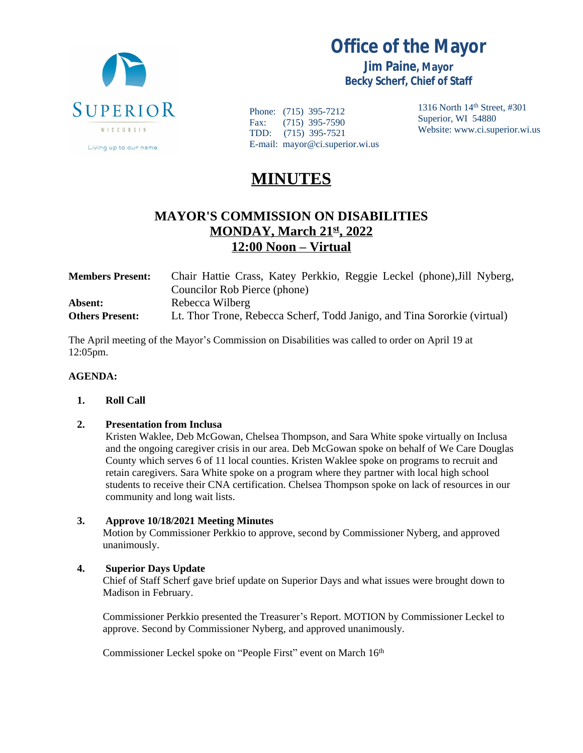

**Office of the Mayor**

**Jim Paine, Mayor Becky Scherf, Chief of Staff**

Phone: (715) 395-7212 Fax: (715) 395-7590 TDD: (715) 395-7521 E-mail: mayor@ci.superior.wi.us 1316 North 14th Street, #301 Superior, WI 54880 Website: www.ci.superior.wi.us

# **MINUTES**

# **MAYOR'S COMMISSION ON DISABILITIES MONDAY, March 21st, 2022 12:00 Noon – Virtual**

| <b>Members Present:</b> | Chair Hattie Crass, Katey Perkkio, Reggie Leckel (phone), Jill Nyberg,   |
|-------------------------|--------------------------------------------------------------------------|
|                         | Councilor Rob Pierce (phone)                                             |
| Absent:                 | Rebecca Wilberg                                                          |
| <b>Others Present:</b>  | Lt. Thor Trone, Rebecca Scherf, Todd Janigo, and Tina Sororkie (virtual) |

The April meeting of the Mayor's Commission on Disabilities was called to order on April 19 at 12:05pm.

#### **AGENDA:**

**1. Roll Call**

#### **2. Presentation from Inclusa**

Kristen Waklee, Deb McGowan, Chelsea Thompson, and Sara White spoke virtually on Inclusa and the ongoing caregiver crisis in our area. Deb McGowan spoke on behalf of We Care Douglas County which serves 6 of 11 local counties. Kristen Waklee spoke on programs to recruit and retain caregivers. Sara White spoke on a program where they partner with local high school students to receive their CNA certification. Chelsea Thompson spoke on lack of resources in our community and long wait lists.

#### **3. Approve 10/18/2021 Meeting Minutes**

Motion by Commissioner Perkkio to approve, second by Commissioner Nyberg, and approved unanimously.

## **4. Superior Days Update**

Chief of Staff Scherf gave brief update on Superior Days and what issues were brought down to Madison in February.

Commissioner Perkkio presented the Treasurer's Report. MOTION by Commissioner Leckel to approve. Second by Commissioner Nyberg, and approved unanimously.

Commissioner Leckel spoke on "People First" event on March 16th